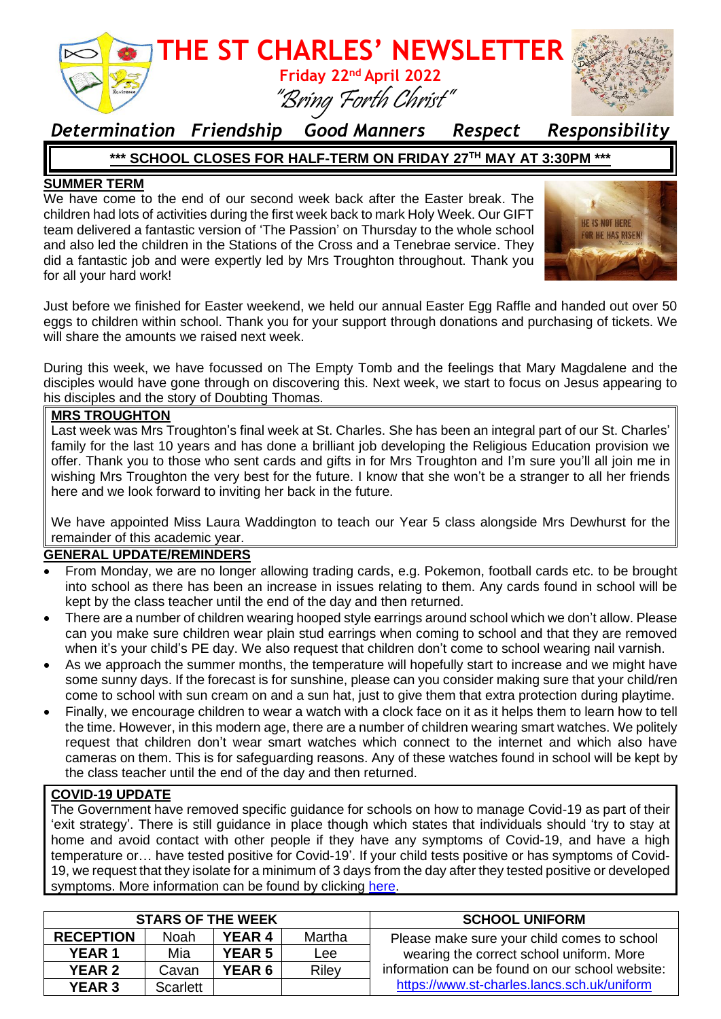

### *Determination Friendship Good Manners Respect Responsibility*

#### **\*\*\* SCHOOL CLOSES FOR HALF-TERM ON FRIDAY 27 TH MAY AT 3:30PM \*\*\***

#### **SUMMER TERM**

We have come to the end of our second week back after the Easter break. The children had lots of activities during the first week back to mark Holy Week. Our GIFT team delivered a fantastic version of 'The Passion' on Thursday to the whole school and also led the children in the Stations of the Cross and a Tenebrae service. They did a fantastic job and were expertly led by Mrs Troughton throughout. Thank you for all your hard work!



Just before we finished for Easter weekend, we held our annual Easter Egg Raffle and handed out over 50 eggs to children within school. Thank you for your support through donations and purchasing of tickets. We will share the amounts we raised next week.

During this week, we have focussed on The Empty Tomb and the feelings that Mary Magdalene and the disciples would have gone through on discovering this. Next week, we start to focus on Jesus appearing to his disciples and the story of Doubting Thomas.

#### **MRS TROUGHTON**

Last week was Mrs Troughton's final week at St. Charles. She has been an integral part of our St. Charles' family for the last 10 years and has done a brilliant job developing the Religious Education provision we offer. Thank you to those who sent cards and gifts in for Mrs Troughton and I'm sure you'll all join me in wishing Mrs Troughton the very best for the future. I know that she won't be a stranger to all her friends here and we look forward to inviting her back in the future.

We have appointed Miss Laura Waddington to teach our Year 5 class alongside Mrs Dewhurst for the remainder of this academic year.

#### **GENERAL UPDATE/REMINDERS**

- From Monday, we are no longer allowing trading cards, e.g. Pokemon, football cards etc. to be brought into school as there has been an increase in issues relating to them. Any cards found in school will be kept by the class teacher until the end of the day and then returned.
- There are a number of children wearing hooped style earrings around school which we don't allow. Please can you make sure children wear plain stud earrings when coming to school and that they are removed when it's your child's PE day. We also request that children don't come to school wearing nail varnish.
- As we approach the summer months, the temperature will hopefully start to increase and we might have some sunny days. If the forecast is for sunshine, please can you consider making sure that your child/ren come to school with sun cream on and a sun hat, just to give them that extra protection during playtime.
- Finally, we encourage children to wear a watch with a clock face on it as it helps them to learn how to tell the time. However, in this modern age, there are a number of children wearing smart watches. We politely request that children don't wear smart watches which connect to the internet and which also have cameras on them. This is for safeguarding reasons. Any of these watches found in school will be kept by the class teacher until the end of the day and then returned.

### **COVID-19 UPDATE**

The Government have removed specific guidance for schools on how to manage Covid-19 as part of their 'exit strategy'. There is still guidance in place though which states that individuals should 'try to stay at home and avoid contact with other people if they have any symptoms of Covid-19, and have a high temperature or… have tested positive for Covid-19'. If your child tests positive or has symptoms of Covid-19, we request that they isolate for a minimum of 3 days from the day after they tested positive or developed symptoms. More information can be found by clicking [here.](https://www.nhs.uk/conditions/coronavirus-covid-19/self-isolation-and-treatment/when-to-self-isolate-and-what-to-do/)

| <b>STARS OF THE WEEK</b> |          |               |              | <b>SCHOOL UNIFORM</b>                                                                   |
|--------------------------|----------|---------------|--------------|-----------------------------------------------------------------------------------------|
| <b>RECEPTION</b>         | Noah     | <b>YEAR 4</b> | Martha       | Please make sure your child comes to school<br>wearing the correct school uniform. More |
| <b>YEAR 1</b>            | Mia      | <b>YEAR 5</b> | Lee          |                                                                                         |
| <b>YEAR 2</b>            | Cavan    | <b>YEAR 6</b> | <b>Riley</b> | information can be found on our school website:                                         |
| <b>YEAR 3</b>            | Scarlett |               |              | https://www.st-charles.lancs.sch.uk/uniform                                             |